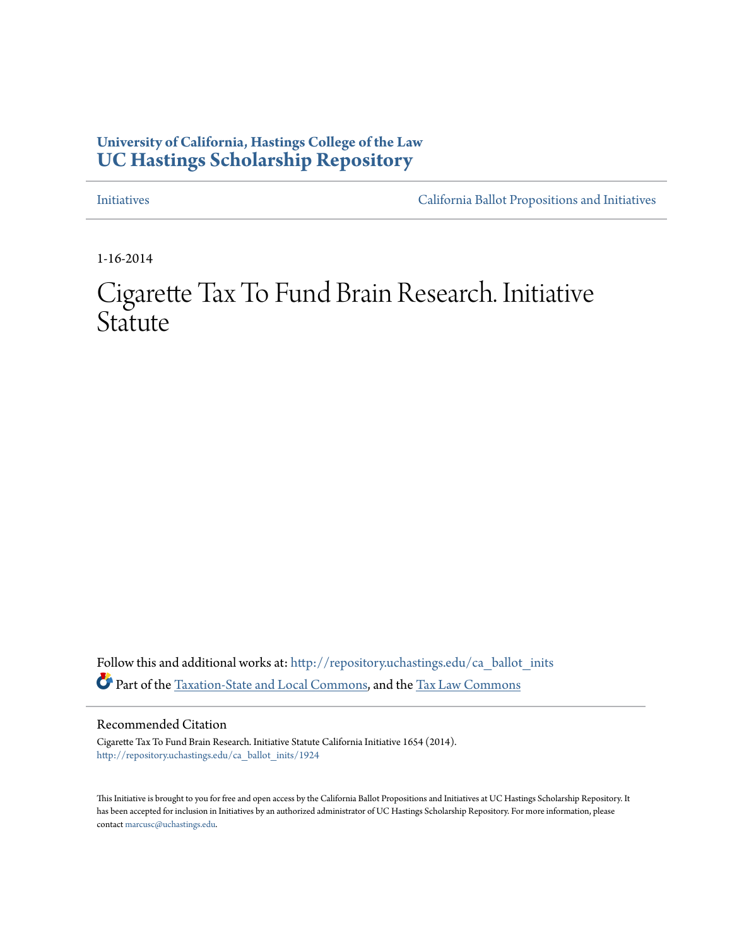### **University of California, Hastings College of the Law [UC Hastings Scholarship Repository](http://repository.uchastings.edu?utm_source=repository.uchastings.edu%2Fca_ballot_inits%2F1924&utm_medium=PDF&utm_campaign=PDFCoverPages)**

[Initiatives](http://repository.uchastings.edu/ca_ballot_inits?utm_source=repository.uchastings.edu%2Fca_ballot_inits%2F1924&utm_medium=PDF&utm_campaign=PDFCoverPages) [California Ballot Propositions and Initiatives](http://repository.uchastings.edu/ca_ballots?utm_source=repository.uchastings.edu%2Fca_ballot_inits%2F1924&utm_medium=PDF&utm_campaign=PDFCoverPages)

1-16-2014

# Cigarette Tax To Fund Brain Research. Initiative Statute

Follow this and additional works at: [http://repository.uchastings.edu/ca\\_ballot\\_inits](http://repository.uchastings.edu/ca_ballot_inits?utm_source=repository.uchastings.edu%2Fca_ballot_inits%2F1924&utm_medium=PDF&utm_campaign=PDFCoverPages) Part of the [Taxation-State and Local Commons,](http://network.bepress.com/hgg/discipline/882?utm_source=repository.uchastings.edu%2Fca_ballot_inits%2F1924&utm_medium=PDF&utm_campaign=PDFCoverPages) and the [Tax Law Commons](http://network.bepress.com/hgg/discipline/898?utm_source=repository.uchastings.edu%2Fca_ballot_inits%2F1924&utm_medium=PDF&utm_campaign=PDFCoverPages)

Recommended Citation

Cigarette Tax To Fund Brain Research. Initiative Statute California Initiative 1654 (2014). [http://repository.uchastings.edu/ca\\_ballot\\_inits/1924](http://repository.uchastings.edu/ca_ballot_inits/1924?utm_source=repository.uchastings.edu%2Fca_ballot_inits%2F1924&utm_medium=PDF&utm_campaign=PDFCoverPages)

This Initiative is brought to you for free and open access by the California Ballot Propositions and Initiatives at UC Hastings Scholarship Repository. It has been accepted for inclusion in Initiatives by an authorized administrator of UC Hastings Scholarship Repository. For more information, please contact [marcusc@uchastings.edu](mailto:marcusc@uchastings.edu).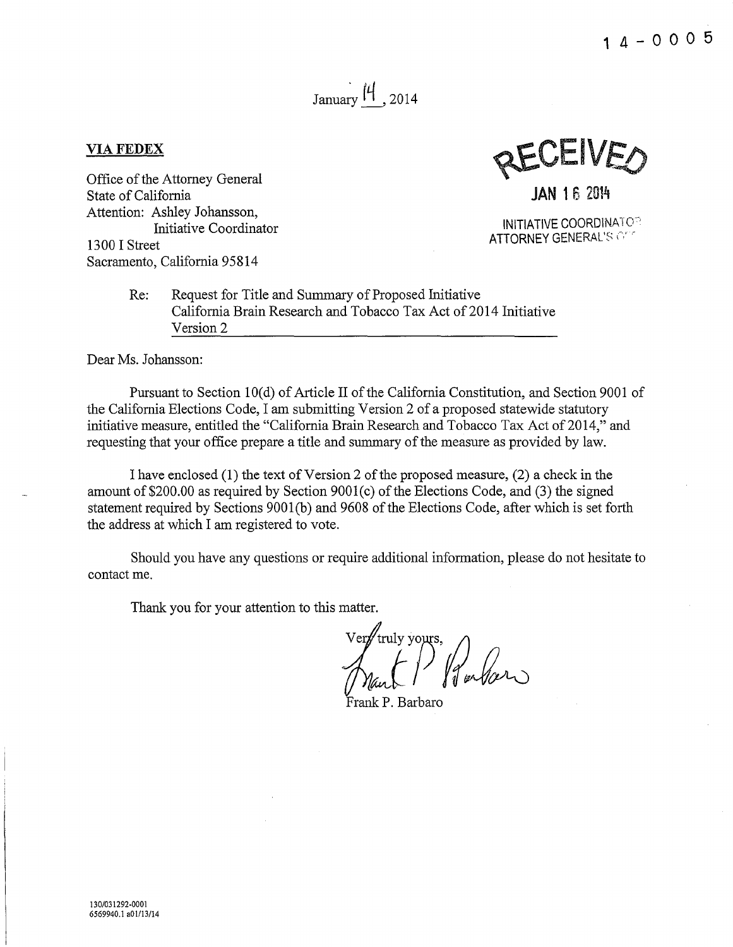**14-0005** 

## January  $\left|4\right|$ , 2014

#### **VIAFEDEX**

Office of the Attorney General State of California Attention: Ashley Johansson, Initiative Coordinator 13 00 I Street Sacramento, California 95814

**JAN** 15 2014

INITIATIVE COORDINATO<sup>-</sup> ATTORNEY GENERAL'S OF

Re: Request for Title and Summary of Proposed Initiative California Brain Research and Tobacco Tax Act of 2014 Initiative Version 2

Dear Ms. Johansson:

Pursuant to Section 10(d) of Article II of the California Constitution, and Section 9001 of the California Elections Code, I am submitting Version 2 of a proposed statewide statutory initiative measure, entitled the "California Brain Research and Tobacco Tax Act of 2014," and requesting that your office prepare a title and summary of the measure as provided by law.

I have enclosed  $(1)$  the text of Version 2 of the proposed measure,  $(2)$  a check in the amount of\$200.00 as required by Section 9001(c) of the Elections Code, and (3) the signed statement required by Sections 9001(b) and 9608 of the Elections Code, after which is set forth the address at which I am registered to vote.

Should you have any questions or require additional information, please do not hesitate to contact me.

Thank you for your attention to this matter.

P Paular

Frank P. Barbaro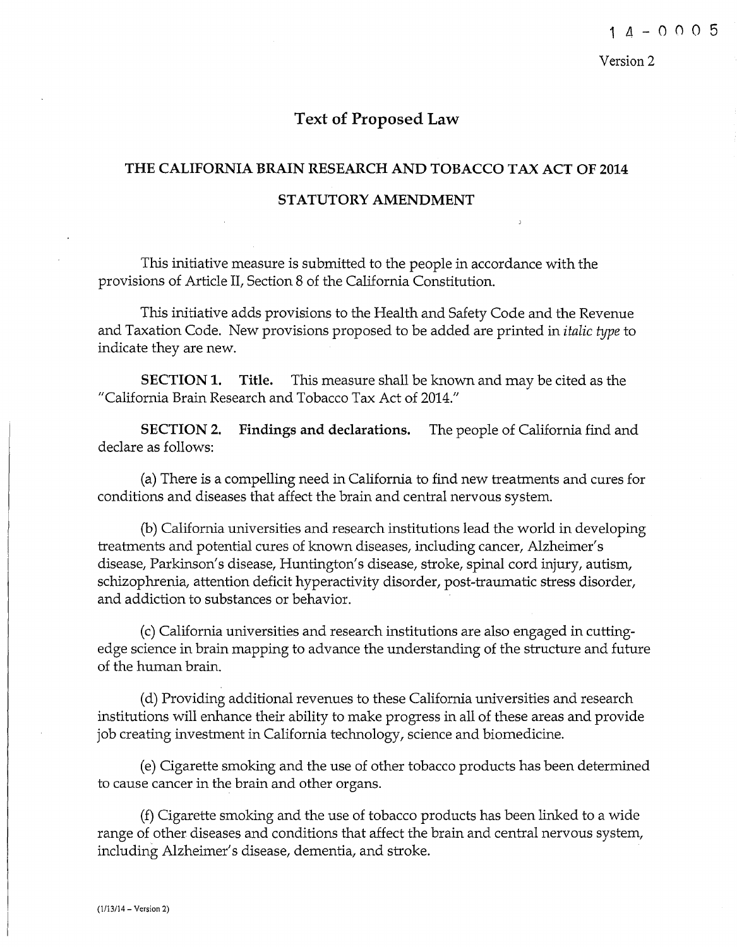### **Text of Proposed Law**

## **THE CALIFORNIA BRAIN RESEARCH AND TOBACCO TAX ACT OF 2014 STATUTORY AMENDMENT**

This initiative measure is submitted to the people in accordance with the provisions of Article II, Section 8 of the California Constitution.

This initiative adds provisions to the Health and Safety Code and the Revenue and Taxation Code. New provisions proposed to be added are printed in *italic type* to indicate they are new.

**SECTION 1. Title.** This measure shall be known and may be cited as the "California Brain Research and Tobacco Tax Act of 2014."

**SECTION 2. Findings and declarations.** The people of California find and declare as follows:

(a) There is a compelling need in California to find new treatments and cures for conditions and diseases that affect the brain and central nervous system.

(b) California universities and research institutions lead the world in developing treatments and potential cures of known diseases, including cancer, Alzheimer's disease, Parkinson's disease, Huntington's disease, stroke, spinal cord injury, autism, schizophrenia, attention deficit hyperactivity disorder, post-traumatic stress disorder, and addiction to substances or behavior.

(c) California universities and research institutions are also engaged in cuttingedge science in brain mapping to advance the understanding of the structure and future of the human brain.

(d) Providing additional revenues to these California universities and research institutions will enhance their ability to make progress in all of these areas and provide job creating investment in California technology, science and biomedicine.

(e) Cigarette smoking and the use of other tobacco products has been determined to cause cancer in the brain and other organs.

(f) Cigarette smoking and the use of tobacco products has been linked to a wide range of other diseases and conditions that affect the brain and central nervous system, including Alzheimer's disease, dementia, and stroke.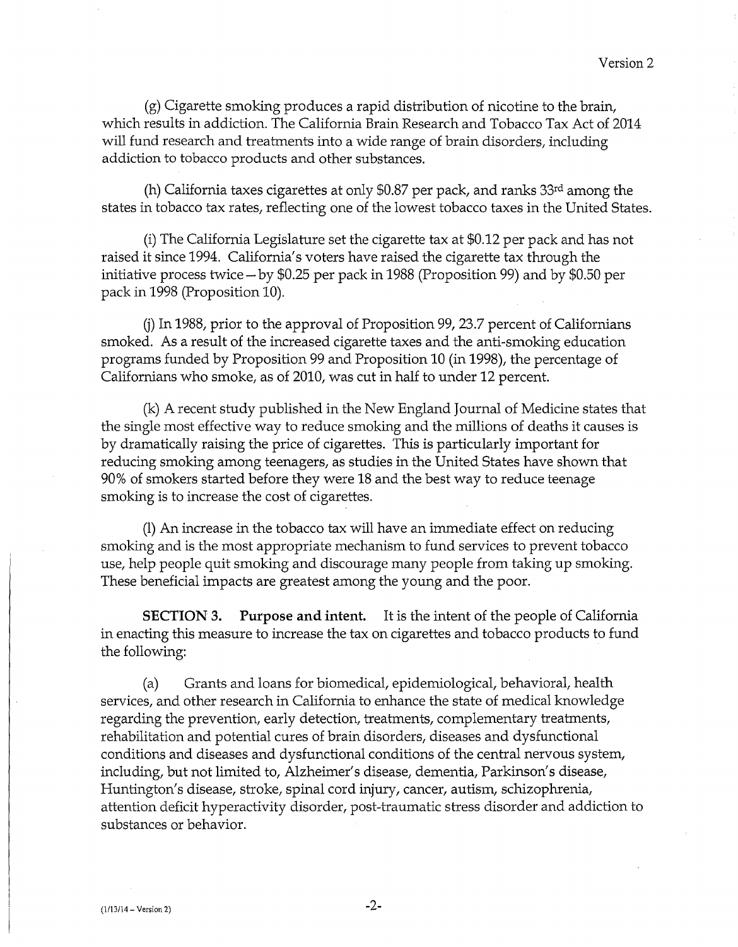(g) Cigarette smoking produces a rapid distribution of nicotine to the brain, which results in addiction. The California Brain Research and Tobacco Tax Act of 2014 will fund research and treatments into a wide range of brain disorders, including addiction to tobacco products and other substances.

(h) California taxes cigarettes at only \$0.87 per pack, and ranks 33rd among the states in tobacco tax rates, reflecting one of the lowest tobacco taxes in the United States.

(i) The California Legislature set the cigarette tax at \$0.12 per pack and has not raised it since 1994. California's voters have raised the cigarette tax through the initiative process twice- by \$0.25 per pack in 1988 (Proposition 99) and by \$0.50 per pack in 1998 (Proposition 10).

(j) In 1988, prior to the approval of Proposition 99, 23.7 percent of Californians smoked. As a result of the increased cigarette taxes and the anti-smoking education programs funded by Proposition 99 and Proposition 10 (in 1998), the percentage of Californians who smoke, as of 2010, was cut in half to under 12 percent.

(k) A recent study published in the New England Journal of Medicine states that the single most effective way to reduce smoking and the millions of deaths it causes is by dramatically raising the price of cigarettes. This is particularly important for reducing smoking among teenagers, as studies in the United States have shown that 90% of smokers started before they were 18 and the best way to reduce teenage smoking is to increase the cost of cigarettes.

(1) An increase in the tobacco tax will have an immediate effect on reducing smoking and is the most appropriate mechanism to fund services to prevent tobacco use, help people quit smoking and discourage many people from taking up smoking. These beneficial impacts are greatest among the young and the poor.

**SECTION 3. Purpose and intent.** It is the intent of the people of California in enacting this measure to increase the tax on cigarettes and tobacco products to fund the following:

(a) Grants and loans for biomedical, epidemiological, behavioral, health services, and other research in California to enhance the state of medical knowledge regarding the prevention, early detection, treatments, complementary treatments, rehabilitation and potential cures of brain disorders, diseases and dysfunctional conditions and diseases and dysfunctional conditions of the central nervous system, including, but not limited to, Alzheimer's disease, dementia, Parkinson's disease, Huntington's disease, stroke, spinal cord injury, cancer, autism, schizophrenia, attention deficit hyperactivity disorder, post-traumatic stress disorder and addiction to substances or behavior.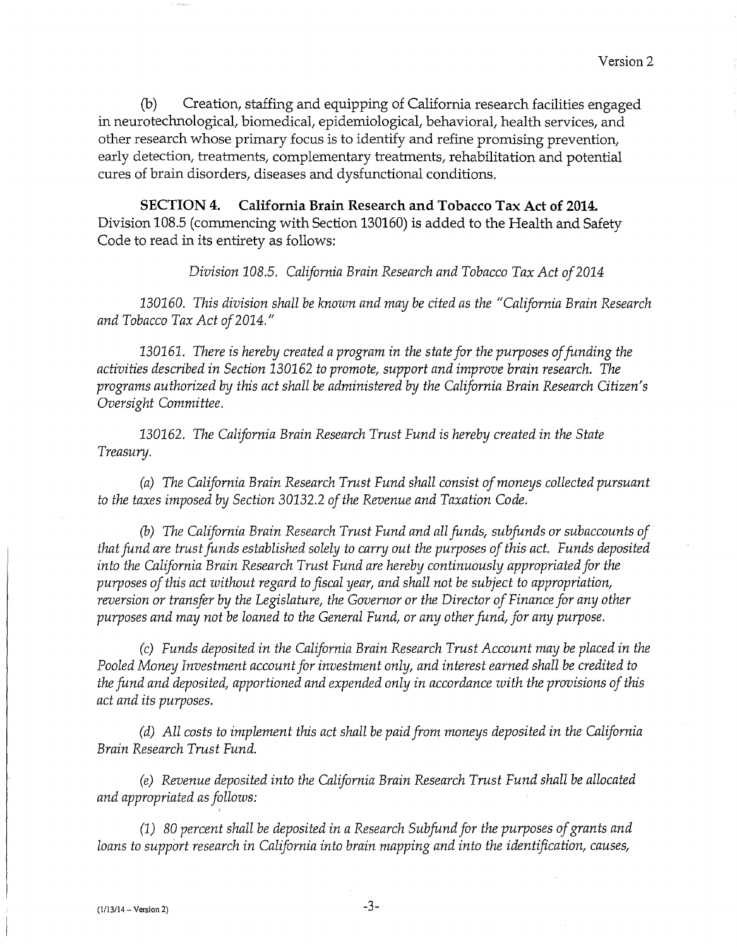(b) Creation, staffing and equipping of California research facilities engaged in neurotechnological, biomedical, epidemiological, behavioral, health services, and other research whose primary focus is to identify and refine promising prevention, early detection, treatments, complementary treatments, rehabilitation and potential cures of brain disorders, diseases and dysfunctional conditions.

**SECTION 4. California Brain Research and Tobacco Tax Act of 2014.**  Division 108.5 (commencing with Section 130160) is added to the Health and Safety Code to read in its entirety as follows:

*Division 108.5. California Brain Research and Tobacco Tax Act of2014* 

*130160. This division shall be known and may be cited as the "California Brain Research and Tobacco Tax Act of2014."* 

*130161. There is hereby created a program in the state for the purposes of funding the activities described in Section 130162 to promote, support and improve brain research. The programs authorized by this act shall be administered by the California Brain Research Citizen's Oversight Committee.* 

*130162. The California Brain Research Trust Fund is hereby created in the State Treasury.* 

*(a) The California Brain Research Trust Fund shall consist of moneys collected pursuant to the taxes imposed by Section 30132.2 of the Revenue and Taxation Code.* 

(b) *The California Brain Research Trust Fund and all funds, subfunds or subaccounts of that fund are trust funds established solely to carry out the purposes of this act. Funds deposited into the California Brain Research Trust Fund are hereby continuously appropriated for the purposes of this act without regard to fiscal year, and shall not be subject to appropriation, reversion or transfer by the Legislature, the Governor or the Director of Finance for any other purposes and may not be loaned to the General Fund, or any other fund, for any purpose.* 

*(c) Funds deposited in the California Brain Research Trust Account may be placed in the Pooled Money Investment account for investment only, and interest earned shall be credited to the fund and deposited, apportioned and expended only in accordance with the provisions of this act and its purposes.* 

*(d) All costs to implement this act shall be paid from moneys deposited in the California Brain Research Trust Fund.* 

*(e) Revenue deposited into the California Brain Research Trust Fund shall be allocated and appropriated as follows:* 

*(1) 80 percent shall be deposited in a Research Subfund for the purposes of grants and loans to support research in California into brain mapping and into the identification, causes,*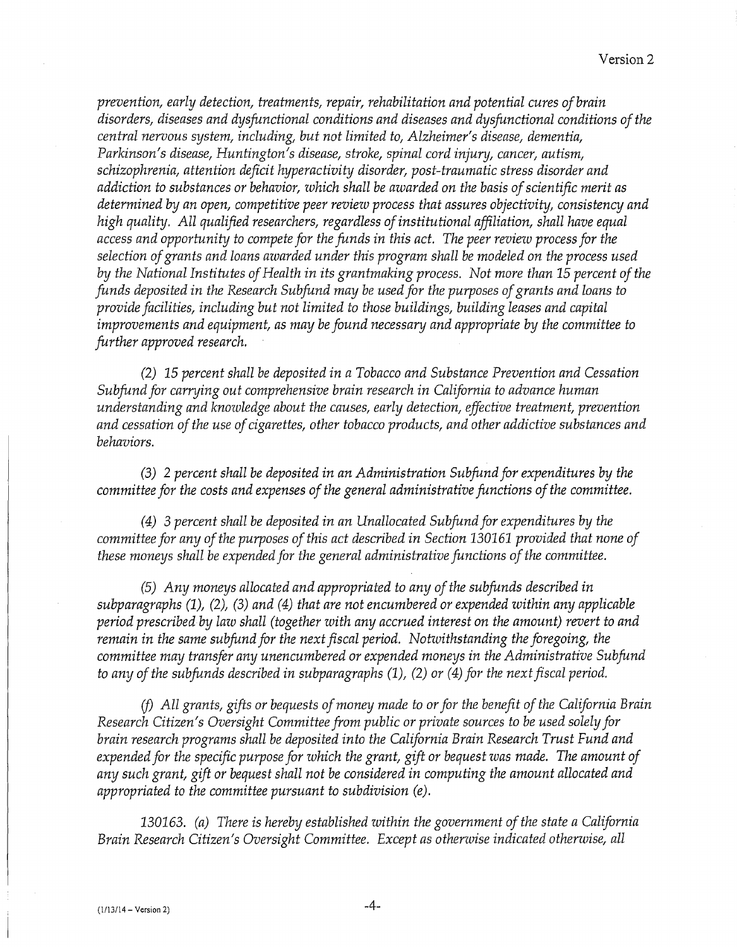*prevention, early detection, treatments, repair, rehabilitation and potential cures ofbrain disorders, diseases and dysfunctional conditions and diseases and dysfunctional conditions of the central nervous system, including, but not limited to, Alzheimer's disease, dementia, Parkinson's disease, Huntington's disease, stroke, spinal cord injury, cancer, autism, schizophrenia, attention deficit hyperactivity disorder, post-traumatic stress disorder and addiction to substances or behavior, which shall be awarded on the basis of scientific merit as determined by an open, competitive peer review process that assures objectivity, consistency and high quality. All qualified researchers, regardless of institutional affiliation, shall have equal access and opportunity to compete for the funds in this act. The peer review process for the selection of grants and loans awarded under this program shall be modeled on the process used by the National Institutes of Health in its grantmaking process. Not more than 15 percent of the funds deposited in the Research Subfund may be used for the purposes of grants and loans to provide facilities, including but not limited to those buildings, building leases and capital improvements and equipment, as may be found necessary and appropriate by the committee to further approved research.* 

*(2) 15 percent shall be deposited in a Tobacco and Substance Prevention and Cessation Subfund for carrying out comprehensive brain research in California to advance human understanding and knowledge about the causes, early detection, effective treatment, prevention and cessation of the use of cigarettes, other tobacco products, and other addictive substances and behaviors.* 

*(3)* 2 *percent shall be deposited in an Administration Subfund for expenditures by the committee for the costs and expenses of the general administrative functions of the committee.* 

*(4) 3 percent shall be deposited in an Unallocated Subfund for expenditures by the committee for any of the purposes of this act described in Section 130161 provided that none of these moneys shall be expended for the general administrative functions of the committee.* 

*(5) Any moneys allocated and appropriated to any of the subfunds described in subparagraphs (1), (2), (3) and (4) that are not encumbered or expended within any applicable period prescribed by law shall (together with any accrued interest on the amount) revert to and remain in the same subfund for the next fiscal period. Notwithstanding the foregoing, the committee may transfer any unencumbered or expended moneys in the Administrative Subfund to any of the subfunds described in subparagraphs (1), (2) or (4) for the next fiscal period.* 

*(j) All grants, gifts or bequests of money made to or for the benefit of the California Brain Research Citizen's Oversight Committee from public or private sources to be used solely for brain research programs shall be deposited into the California Brain Research Trust Fund and expended for the specific purpose for which the grant, gift or bequest was made. The amount of any such grant, gift or bequest shall not be considered in computing the amount allocated and appropriated to the committee pursuant to subdivision (e).* 

*130163. (a) There is hereby established within the government of the state a California Brain Research Citizen's Oversight Committee. Except as otherwise indicated otherwise, all*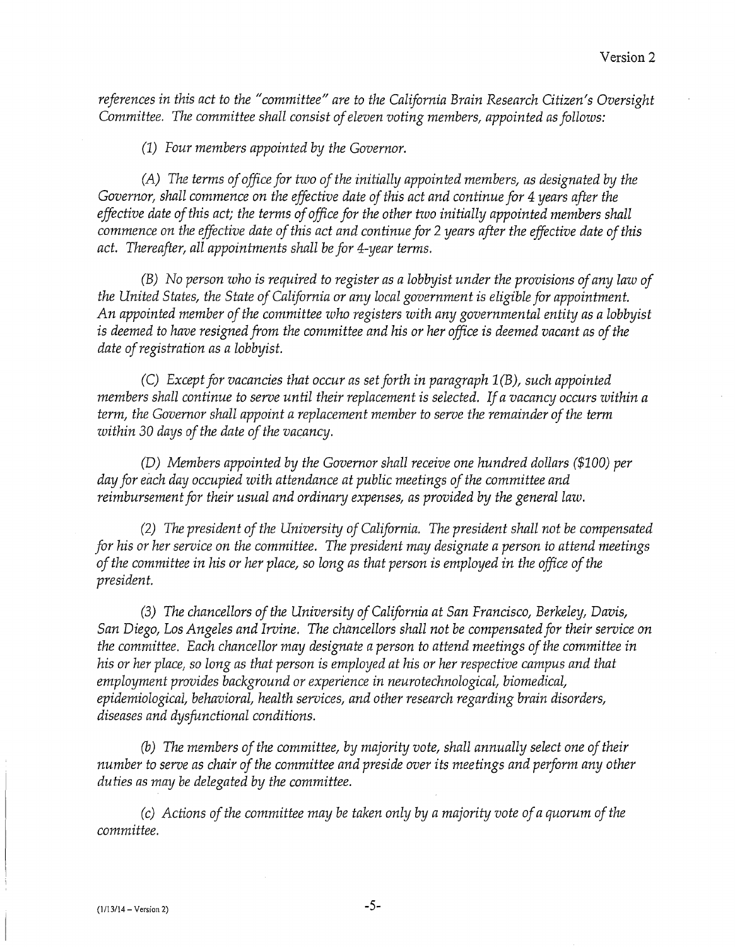*references in this act to the "committee" are to the California Brain Research Citizen's Oversight Committee. The committee shall consist of eleven voting members, appointed as follows:* 

*(1) Four members appointed by the Governor.* 

*(A) The terms of office for two of the initially appointed members, as designated by the Governor, shall commence on the effective date of this act and continue for 4 years after the effective date of this act; the terms of office for the other two initially appointed members shall commence on the effective date of this act and continue for* 2 *years after the effective date of this act. Thereafter, all appointments shall be for 4-year terms.* 

*(B) No person who is required to register as a lobbyist under the provisions of any law of the United States, the State of California or any local government is eligible for appointment. An appointed member of the committee who registers with any governmental entity as a lobbyist is deemed to have resigned from the committee and his or her office is deemed vacant as of the date of registration as a lobbyist.* 

*(C) Except for vacancies that occur as set forth in paragraph 1(B), such appointed members shall continue to serve until their replacement is selected. If a vacancy occurs within a term, the Governor shall appoint a replacement member to serve the remainder of the term within* 30 *days of the date of the vacancy.* 

*(D) Members appointed by the Governor shall receive one hundred dollars (\$100) per day for each day occupied with attendance at public meetings of the committee and reimbursement for their usual and ordinary expenses, as provided by the general law.* 

*(2) The president of the University of California. The president shall not be compensated for his or her service on the committee. The president may designate a person to attend meetings of the committee in his or her place, so long as that person is employed in the office of the president.* 

*(3) The chancellors of the University of California at San Francisco, Berkeley, Davis, San Diego, Los Angeles and Irvine. The chancellors shall not be compensated for their service on the committee. Each chancellor may designate a person to attend meetings of the committee in his or her place, so long as that person is employed at his or her respective campus and that employment provides background or experience in neurotechnological, biomedical, epidemiological, behavioral, health services, and other research regarding brain disorders, diseases and dysfunctional conditions.* 

*(b) The members of the committee, by majority vote, shall annually select one of their number to serve as chair of the committee and preside over its meetings and perform any other duties as may be delegated by the committee.* 

*(c) Actions of the committee may be taken only by a majority vote of a quorum of the committee.*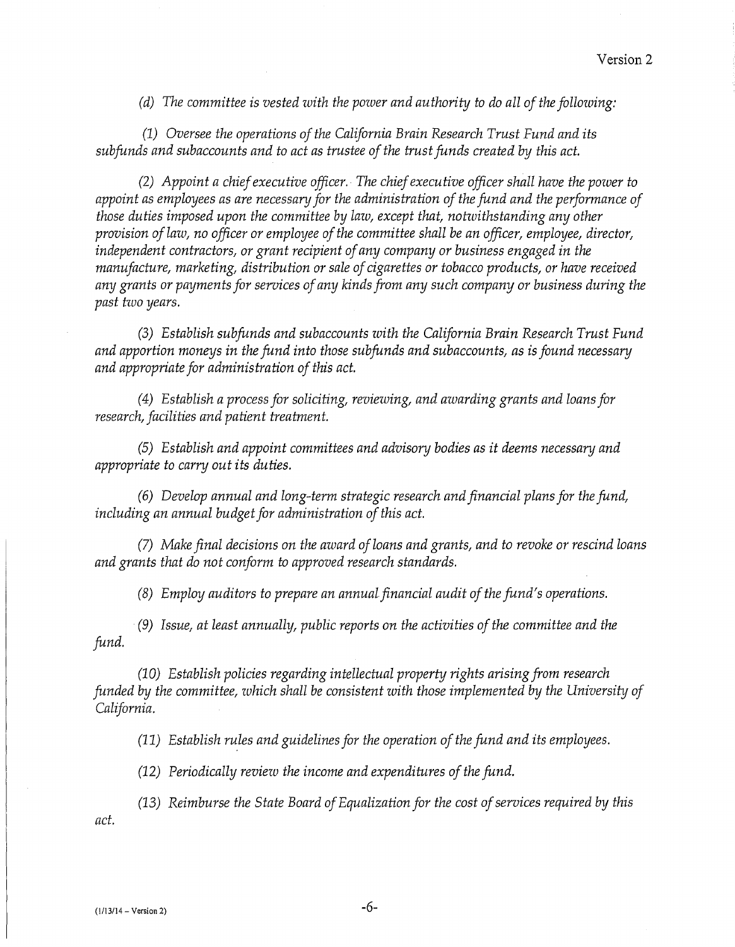*(d) The committee is vested with the power and authority to do all of the following:* 

*(1) Oversee the operations of the California Brain Research Trust Fund and its subfunds and subaccounts and to act as trustee of the trust funds created by this act.* 

*(2) Appoint a chief executive officer. The chief executive officer shall have the power to appoint as employees as are necessary for the administration of the fund and the performance of those duties imposed upon the committee by law, except that, notwithstanding any other provision of law, no officer or employee of the committee shall be an officer, employee, director, independent contractors, or grant recipient of any company or business engaged in the manufacture, marketing, distribution or sale of cigarettes or tobacco products, or have received any grants or payments for services of any kinds from any such company or business during the past two years.* 

*(3) Establish subfunds and subaccounts with the California Brain Research Trust Fund and apportion moneys in the fund into those subfunds and subaccounts, as is found necessary and appropriate for administration of this act.* 

*( 4) Establish a process for soliciting, reviewing, and awarding grants and loans for research, facilities and patient treatment.* 

*(5) Establish and appoint committees and advisory bodies as it deems necessary and appropriate to carry out its duties.* 

*(6) Develop annual and long-term strategic research and financial plans for the fund, including an annual budget for administration of this act.* 

*(7) Make final decisions on the award of loans and grants, and to revoke or rescind loans and grants that do not conform to approved research standards.* 

*(8) Employ auditors to prepare an annualfinancial audit of the fund's operations.* 

*(9) Issue, at least annually, public reports on the activities of the committee and the fund.* 

*(10) Establish policies regarding intellectual property rights arising from research funded by the committee, which shall be consistent with those implemented by the University of California.* 

*(11) Establish rules and guidelines for the operation of the fund and its employees.* 

*(12) Periodically review the income and expenditures of the fund.* 

*act. (13) Reimburse the State Board of Equalization for the cost of services required by this*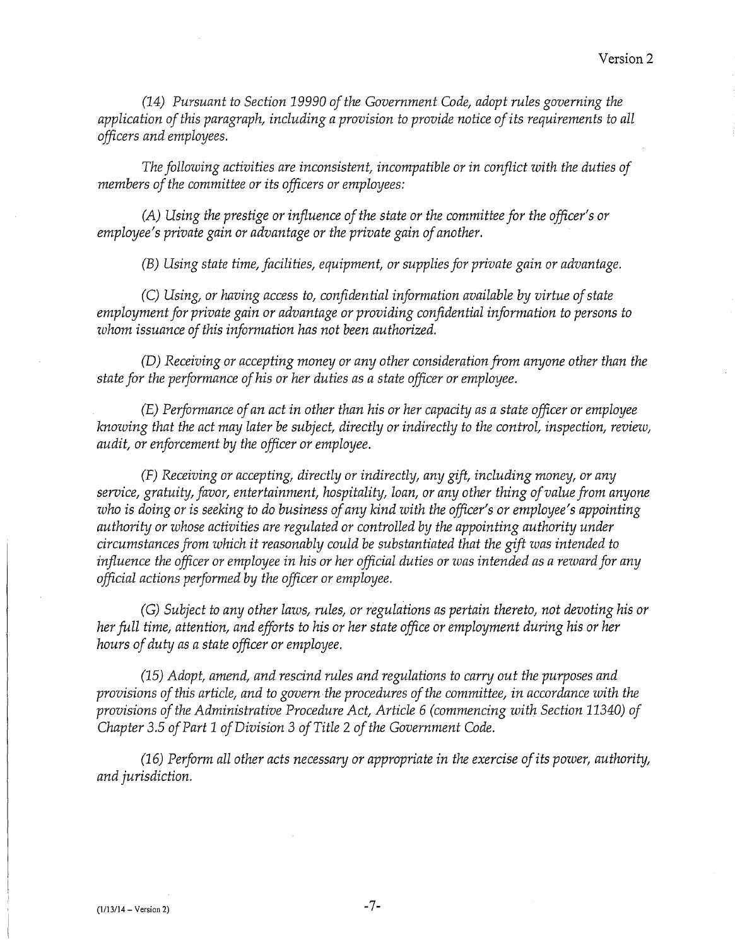*(14) Pursuant to Section 19990 of the Government Code, adopt rules governing the application of this paragraph, including a provision to provide notice of its requirements to all officers and employees.* 

*The following activities are inconsistent, incompatible or in conflict with the duties of members of the committee or its officers or employees:* 

*(A) Using the prestige or influence of the state or the committee for the officer's or employee's private gain or advantage or the private gain of another.* 

*(B) Using state time, facilities, equipment, or supplies for private gain or advantage.* 

*(C) Using, or having access to, confidential information available by virtue of state employment for private gain or advantage or providing confidential information to persons to whom issuance of this information has not been authorized.* 

*(D) Receiving or accepting money or any other consideration from anyone other than the state for the performance of his or her duties as a state officer or employee.* 

*(E) Performance of an act in other than his or her capacity as a state officer or employee knowing that the act may later be subject, directly or indirectly to the controt inspection, review, audit, or enforcement by the officer or employee.* 

*(F) Receiving or accepting, directly or indirectly, any gift, including money, or any service, gratuity, favor, entertainment, hospitality, loan, or any other thing of value from anyone who is doing or is seeking to do business of any kind with the officer's or employee's appointing authority or whose activities are regulated or controlled by the appointing authority under circumstances from which it reasonably could be substantiated that the gift was intended to influence the officer or employee in his or her official duties or was intended as a reward for any official actions performed by the officer or employee.* 

*(G) Subject to any other laws, rules, or regulations as pertain thereto, not devoting his or her full time, attention, and efforts to his or her state office or employment during his or her hours of duty as a state officer or employee.* 

*(15) Adopt, amend, and rescind rules and regulations to carry out the purposes and provisions of this article, and to govern the procedures of the committee, in accordance with the provisions of the Administrative Procedure Act, Article 6 (commencing with Section 11340) of Chapter 3.5 of Part 1 of Division* 3 *of Title* 2 *of the Government Code.* 

*(16) Perform all other acts necessary or appropriate in the exercise of its power, authority, and jurisdiction.*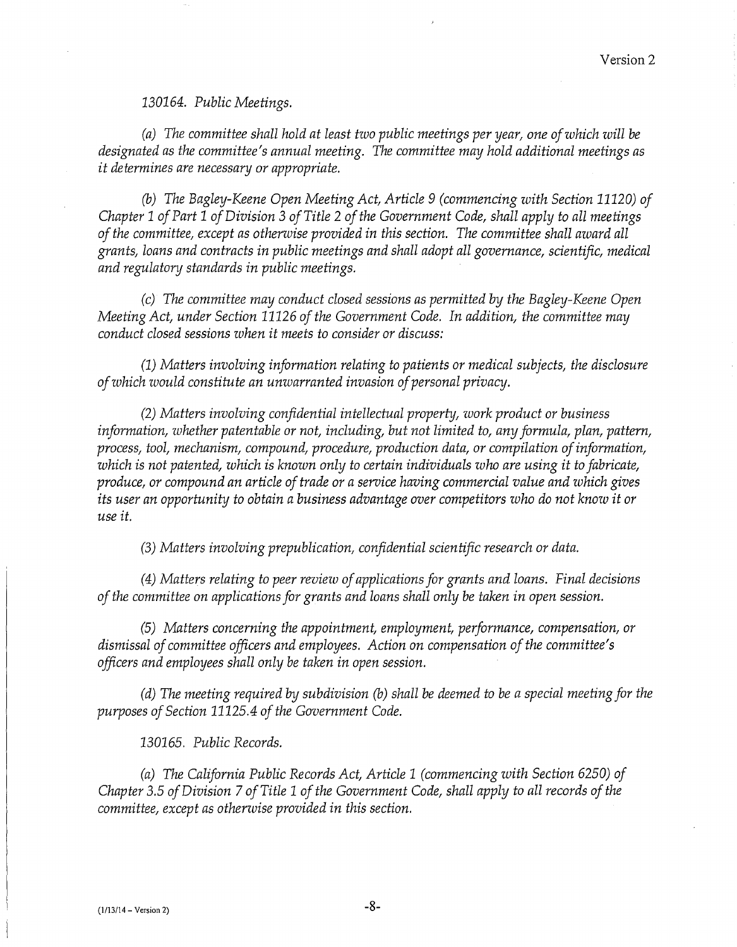*130164. Public Meetings.* 

*(a) The committee shall hold at least two public meetings per year, one of which will be designated as the committee's annual meeting. The committee may hold additional meetings as it determines are necessary or appropriate.* 

(b) *The Bagley-Keene Open Meeting Act, Article 9 (commencing with Section 11120) of Chapter 1 of Part 1 of Division* 3 *of Title* 2 *of the Government Code, shall apply to all meetings of the committee, except as otherwise provided in this section. The committee shall award all grants, loans and contracts in public meetings and shall adopt all governance, scientific, medical and regulatory standards in public meetings.* 

*(c) The committee may conduct closed sessions as permitted by the Bagley-Keene Open Meeting Act, under Section 11126 of the Government Code. In addition, the committee may conduct closed sessions when it meets to consider or discuss:* 

(1) *Matters involving information relating to patients or medical subjects, the disclosure of which would constitute an unwarranted invasion of personal privacy.* 

*(2) Matters involving confidential intellectual property, work product or business information, whether patentable or not, including, but not limited to, any formula, plan, pattern, process, tool, mechanism, compound, procedure, production data, or compilation of information, which is not patented, which is known only to certain individuals who are using it to fabricate, produce, or compound an article of trade or a service having commercial value and which gives its user an opportunity to obtain a business advantage over competitors who do not know it or use it.* 

*(3) Matters involving prepublication, confidential scientific research or data.* 

*(4) Matters relating to peer review of applications for grants and loans. Final decisions of the committee on applications for grants and loans shall only be taken in open session.* 

*(5) Matters concerning the appointment, employment, performance, compensation, or dismissal of committee officers and employees. Action on compensation of the committee's officers and employees shall only be taken in open session.* 

*(d) The meeting required by subdivision* (b) *shall be deemed to be a special meeting for the purposes of Section 11125.4 of the Government Code.* 

*130165. Public Records.* 

*(a) The California Public Records Act, Article 1 (commencing with Section 6250) of Chapter 3.5 of Division* 7 *ofTitle 1 of the Government Code, shall apply to all records of the committee, except as otherwise provided in this section.*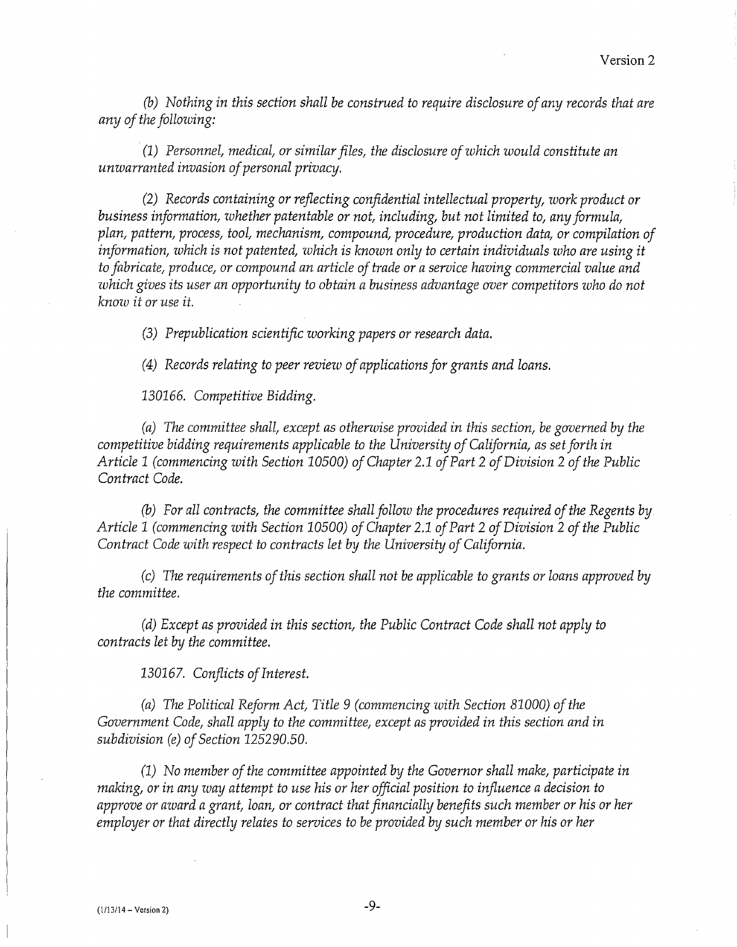*(b) Nothing in this section shall be construed to require disclosure of any records that are any of the following:* 

. *(1) Personnel\_ medical, or similar files, the disclosure of which would constitute an unwarranted invasion of personal privacy.* 

*(2) Records containing or reflecting confidential intellectual property, work product or business information, whether patentable or not, including, but not limited to, any formula, plan, pattern, process, tool, mechanism, compound, procedure, production data, or compilation of information, which is not patented, which is known only to certain individuals who are using it to fabricate, produce, or compound an article of trade or a service having commercial value and which gives its user an opportunity to obtain a business advantage over competitors who do not know it or use it.* 

*(3) Prepublication scientific working papers or research data.* 

*( 4) Records relating to peer review of applications for grants and loans.* 

130166. *Competitive Bidding.* 

*(a) The committee shall, except as otherwise provided in this section, be governed by the competitive bidding requirements applicable to the University of California, as set forth in Article 1 (commencing with Section 10500) of Chapter* 2.1 *of Part* 2 *of Division* 2 *of the Public Contract Code.* 

(b) *For all contracts, the committee shall follow the procedures required of the Regents by Article 1 (commencing with Section 10500) of Chapter* 2.1 *of Part* 2 *of Division* 2 *of the Public Contract Code with respect to contracts let by the University of California.* 

*(c) The requirements of this section shall not be applicable to grants or loans approved by the committee.* 

*(d) Except as provided in this section, the Public Contract Code shall not apply to contracts let by the committee.* 

130167. *Conflicts of Interest.* 

*(a) The Political Reform Act, Title 9 (commencing with Section 81000) of the Government Code, shall apply to the committee, except as provided in this section and in subdivision (e) of Section 125290.50.* 

*(1) No member of the committee appointed by the Governor shall make, participate in making, or in any way attempt to use his or her official position to influence a decision to approve or award a grant, loan, or contract that financially benefits such member or his or her employer or that directly relates to services to be provided by such member or his or her*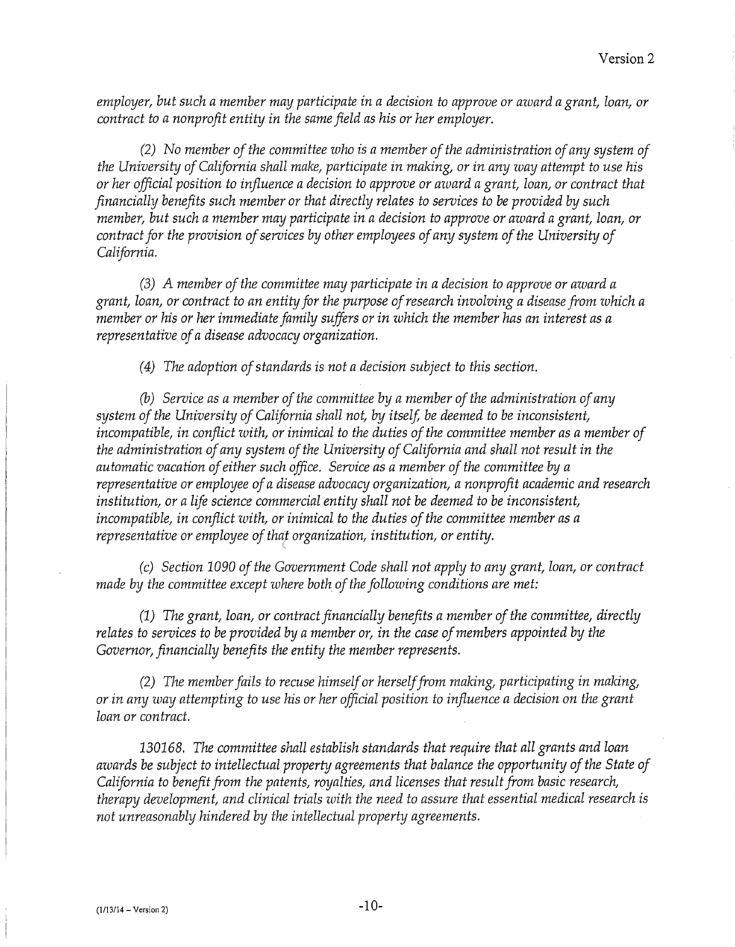*employer, but such a member may participate in a decision to approve or award a grant, loan, or contract to a nonprofit entity in the same field as his or her employer.* 

*(2) No member of the committee who is a member of the administration of any system of the University of California shall make, participate in making, or in any way attempt to use his or her official position to influence a decision to approve or award a grant, loan, or contract that financially benefits such member or that directly relates to services to be provided by such member, but such a member may participate in a decision to approve or award a grant, loan, or contract for the provision of services by other employees of any system of the University of California.* 

*(3) A member of the committee may participate in a decision to approve or award a grant, loan, or contract to an entity for the purpose of research involving a disease from which a member or his or her immediate family suffers or in which the member has an interest as a representative of a disease advocacy organization.* 

*( 4) The adoption of standards is not a decision subject to this section.* 

(b) *Service as a member of the committee by a member of the administration of any system of the University of California shall not, by itself, be deemed to be inconsistent, incompatible, in conflict with, or inimical to the duties of the committee member as a member of the administration of any system of the University of California and shall not result in the automatic vacation of either such office. Service as a member of the committee by a representative or employee of a disease advocacy organization, a nonprofit academic and research institution, or a life science commercial entity shall not be deemed to be inconsistent, incompatible, in conflict with, or inimical to the duties of the committee member as a representative or employee of that organization, institution, or entity.* 

*(c) Section 1090 of the Government Code shall not apply to any grant, loan, or contract made by the committee except where both of the following conditions are met:* 

*(1) The grant, loan, or contract financially benefits a member of the committee, directly relates to services to be provided by a member or, in the case of members appointed by the Governor, financially benefits the entity the member represents.* 

*(2) The member fails to recuse himself or herself from making, participating in making, or in any way attempting to use his or her official position to influence a decision on the grant loan or contract.* 

*130168. The committee shall establish standards that require that all grants and loan awards be subject to intellectual property agreements that balance the opportunity of the State of California to benefit from the patents, royalties, and licenses that result from basic research, therapy development, and clinical trials with the need to assure that essential medical research is not unreasonably hindered by the intellectual property agreements.*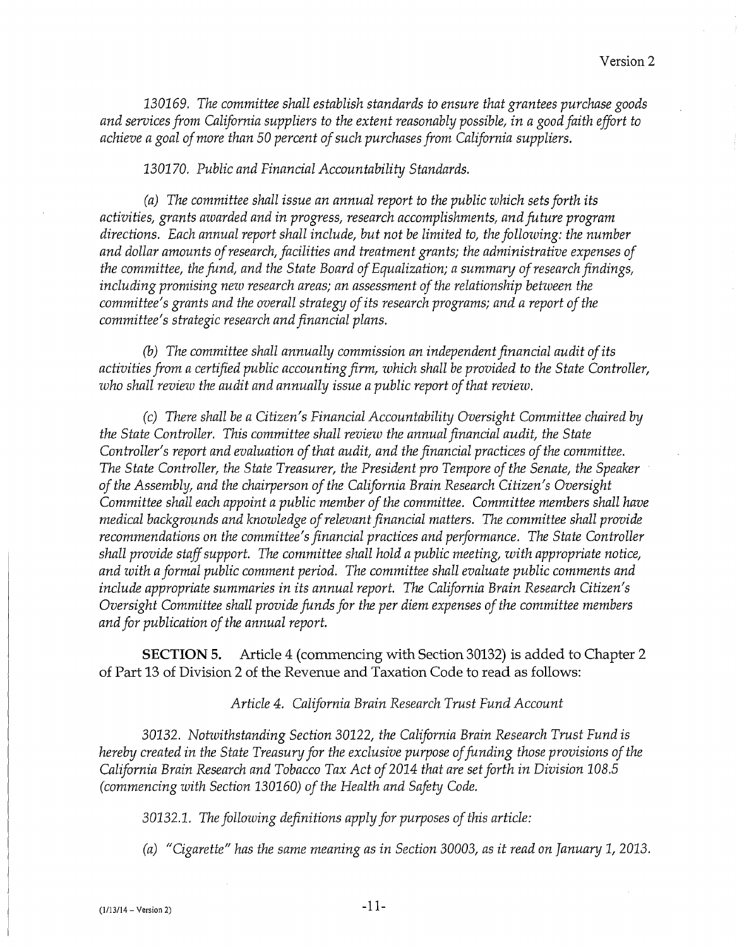*130169. The committee shall establish standards to ensure that grantees purchase goods and services from California suppliers to the extent reasonably possible, in a good faith effort to achieve a goal of more than 50 percent of such purchases from California suppliers.* 

*130170. Public and Financial Accountability Standards.* 

*(a) The committee shall issue an annual report to the public which sets forth its activities, grants awarded and in progress, research accomplishments, and future program directions. Each annual report shall include, but not be limited to, the following: the number and dollar amounts of research, facilities and treatment grants; the administrative expenses of the committee, the fund, and the State Board of Equalization; a summary of research findings, including promising new research areas; an assessment of the relationship between the committee's grants and the overall strategy of its research programs; and a report of the committee's strategic research and financial plans.* 

(b) *The committee shall annually commission an independent financial audit of its activities from a certified public accounting firm, which shall be provided to the State Controller, who shall review the audit and annually issue a public report of that review.* 

*(c) There shall be a Citizen's Financial Accountability Oversight Committee chaired by the State Controller. This committee shall review the annual financial audit, the State Controller's report and evaluation of that audit, and the financial practices of the committee. The State Controller, the State Treasurer, the President pro Tempore of the Senate, the Speaker of the Assembly, and the chairperson of the California Brain Research Citizen's Oversight Committee shall each appoint a public member of the committee. Committee members shall have medical backgrounds and knowledge of relevant financial matters. The committee shall provide recommendations on the committee's financial practices and performance. The State Controller shall provide staff support. The committee shall hold a public meeting, with appropriate notice, and with a formal public comment period. The committee shall evaluate public comments and include appropriate summaries in its annual report. The California Brain Research Citizen's Oversight Committee shall provide funds for the per diem expenses of the committee members and for publication of the annual report.* 

**SECTION 5.** Article 4 (commencing with Section 30132) is added to Chapter 2 of Part 13 of Division 2 of the Revenue and Taxation Code to read as follows:

*Article 4. California Brain Research Trust Fund Account* 

30132. *Notwithstanding Section* 30122, *the California Brain Research Trust Fund is hereby created in the State Treasury for the exclusive purpose of funding those provisions of the California Brain Research and Tobacco Tax Act of 2014 that are set forth in Division 108.5 (commencing with Section 130160) of the Health and Safety Code.* 

30132.1. *The following definitions apply for purposes of this article:* 

*(a) "Cigarette" has the same meaning as in Section* 30003, *as it read on January* 1, 2013.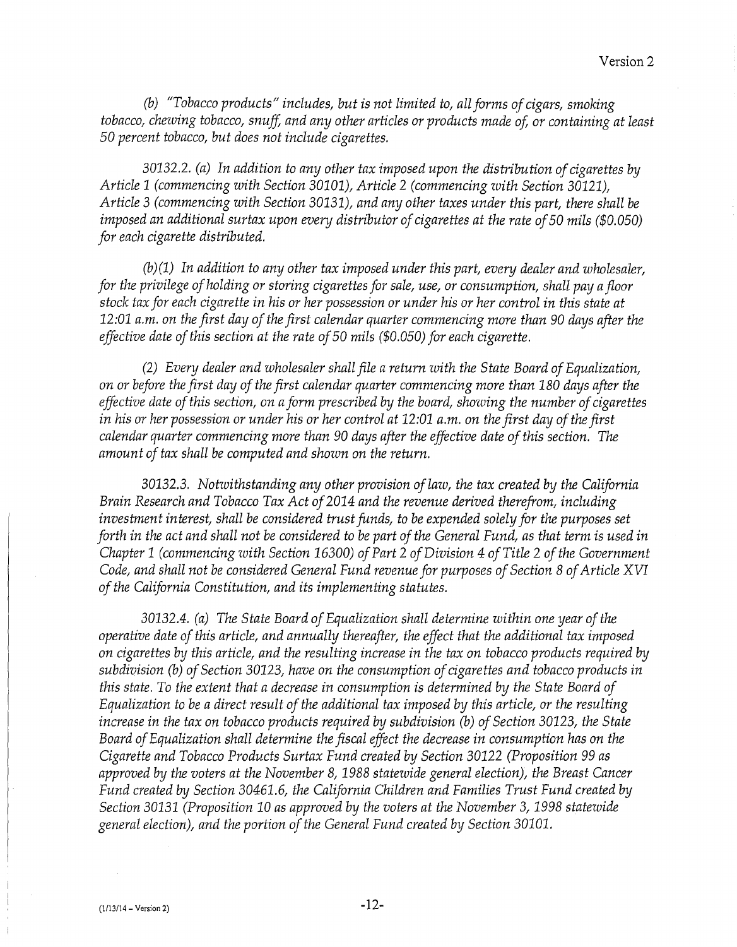*(b) "Tobacco products" includes, but is not limited to, all forms of cigars, smoking tobacco, chewing tobacco, snuff, and any other articles or products made of, or containing at least 50 percent tobacco, but does not include cigarettes.* 

30132.2. *(a) In addition to any other tax imposed upon the distribution of cigarettes by Article* 1 *(commencing with Section 30101), Article* 2 *(commencing with Section 30121), Article* 3 *(commencing with Section 30131), and any other taxes under this part, there shall be imposed an additional surtax upon every distributor of cigarettes at the rate of 50 mils (\$0.050) for each cigarette distributed.* 

*(b)(1) In addition to any other tax imposed under this part, every dealer and wholesaler, for the privilege of holding or storing cigarettes for sale, use, or consumption, shall pay a floor stock tax for each cigarette in his or her possession or under his or her control in this state at 12:01 a.m. on the first day of the first calendar quarter commencing more than* 90 *days after the effective date of this section at the rate of 50 mils (\$0.050) for each cigarette.* 

*(2) Every dealer and wholesaler shall file a return with the State Board of Equalization, on or before the first day of the first calendar quarter commencing more than 180 days after the effective date of this section, on a form prescribed by the board, showing the number of cigarettes in his or her possession or under his or her control at 12:01 a.m. on the first day of the first calendar quarter commencing more than* 90 *days after the effective date of this section. The amount of tax shall be computed and shown on the return.* 

30132.3. *Notwithstanding any other provision of law, the tax created by the California Brain Research and Tobacco Tax Act of 2014 and the revenue derived therefrom, including investment interest, shall be considered trust funds, to be expended solely for the purposes set forth in the act and shall not be considered to be part of the General Fund, as that term is used in Chapter* 1 *(commencing with Section 16300) of Part* 2 *of Division 4 of Title* 2 *of the Government Code, and shall not be considered General Fund revenue for purposes of Section 8 of Article XVI of the California Constitution, and its implementing statutes.* 

30132.4. *(a)* The State Board of Equalization shall determine within one year of the *operative date of this article, and annually thereafter, the effect that the additional tax imposed on cigarettes by this article, and the resulting increase in the tax on tobacco products required by subdivision (b) of Section* 30123, *have on the consumption of cigarettes and tobacco products in this state. To the extent that a decrease in consumption is determined by the State Board of Equalization to be a direct result of the additional tax imposed by this article, or the resulting increase in the tax on tobacco products required by subdivision (b) of Section 30123, the State Board of Equalization shall determine the fiscal effect the decrease in consumption has on the Cigarette and Tobacco Products Surtax Fund created by Section* 30122 *(Proposition 99 as approved by the voters at the November 8, 1988 statewide general election), the Breast Cancer Fund created by Section* 30461.6, *the California Children and Families Trust Fund created by Section* 30131 *(Proposition* 10 *as approved by the voters at the November* 3, *1998 statewide general election), and the portion of the General Fund created by Section* 30101.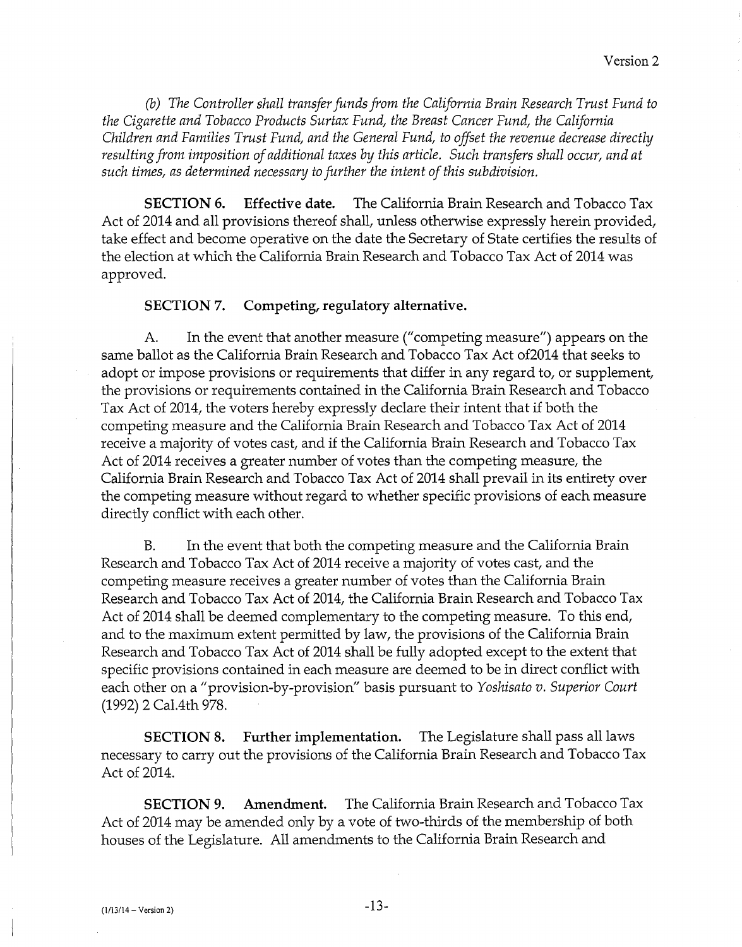(b) *The Controller shall transfer funds from the California Brain Research Trust Fund to the Cigarette and Tobacco Products Surtax Fund, the Breast Cancer Fund, the California Children and Families Trust Fund, and the General Fund, to offset the revenue decrease directly resulting from imposition of additional taxes by this article. Such transfers shall occur, and at such times, as determined necessary to further the intent of this subdivision.* 

**SECTION 6. Effective date.** The California Brain Research and Tobacco Tax Act of 2014 and all provisions thereof shall, unless otherwise expressly herein provided, take effect and become operative on the date the Secretary of State certifies the results of the election at which the California Brain Research and Tobacco Tax Act of 2014 was approved.

#### **SECTION 7. Competing, regulatory alternative.**

A. In the event that another measure ("competing measure") appears on the same ballot as the California Brain Research and Tobacco Tax Act of2014 that seeks to adopt or impose provisions or requirements that differ in any regard to, or supplement, the provisions or requirements contained in the California Brain Research and Tobacco Tax Act of 2014, the voters hereby expressly declare their intent that if both the competing measure and the California Brain Research and Tobacco Tax Act of 2014 receive a majority of votes cast, and if the California Brain Research and Tobacco Tax Act of 2014 receives a greater number of votes than the competing measure, the California Brain Research and Tobacco Tax Act of 2014 shall prevail in its entirety over the competing measure without regard to whether specific provisions of each measure directly conflict with each other.

B. In the event that both the competing measure and the California Brain Research and Tobacco Tax Act of 2014 receive a majority of votes cast, and the competing measure receives a greater number of votes than the California Brain Research and Tobacco Tax Act of 2014, the California Brain Research and Tobacco Tax Act of 2014 shall be deemed complementary to the competing measure. To this end, and to the maximum extent permitted by law, the provisions of the California Brain Research and Tobacco Tax Act of 2014 shall be fully adopted except to the extent that specific provisions contained in each measure are deemed to be in direct conflict with each other on a "provision-by-provision" basis pursuant to *Yoshisato v. Superior Court*  (1992) 2 Cal.4th 978.

**SECTION 8. Further implementation.** The Legislature shall pass all laws necessary to carry out the provisions of the California Brain Research and Tobacco Tax Act of 2014.

**SECTION 9. Amendment.** The California Brain Research and Tobacco Tax Act of 2014 may be amended only by a vote of two-thirds of the membership of both houses of the Legislature. All amendments to the California Brain Research and